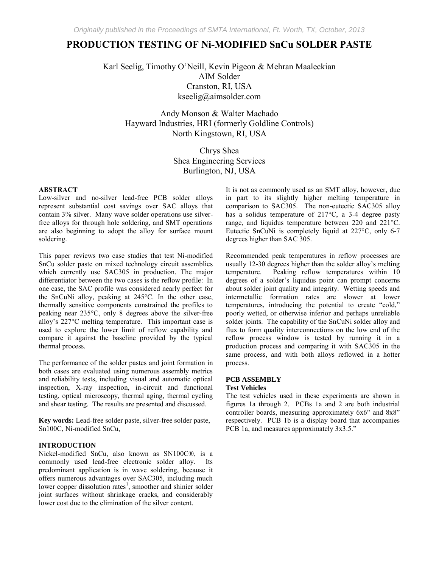# **PRODUCTION TESTING OF Ni-MODIFIED SnCu SOLDER PASTE**

Karl Seelig, Timothy O'Neill, Kevin Pigeon & Mehran Maaleckian AIM Solder Cranston, RI, USA kseelig@aimsolder.com

Andy Monson & Walter Machado Hayward Industries, HRI (formerly Goldline Controls) North Kingstown, RI, USA

> Chrys Shea Shea Engineering Services Burlington, NJ, USA

### **ABSTRACT**

Low-silver and no-silver lead-free PCB solder alloys represent substantial cost savings over SAC alloys that contain 3% silver. Many wave solder operations use silverfree alloys for through hole soldering, and SMT operations are also beginning to adopt the alloy for surface mount soldering.

This paper reviews two case studies that test Ni-modified SnCu solder paste on mixed technology circuit assemblies which currently use SAC305 in production. The major differentiator between the two cases is the reflow profile: In one case, the SAC profile was considered nearly perfect for the SnCuNi alloy, peaking at 245°C. In the other case, thermally sensitive components constrained the profiles to peaking near 235°C, only 8 degrees above the silver-free alloy's 227°C melting temperature. This important case is used to explore the lower limit of reflow capability and compare it against the baseline provided by the typical thermal process.

The performance of the solder pastes and joint formation in both cases are evaluated using numerous assembly metrics and reliability tests, including visual and automatic optical inspection, X-ray inspection, in-circuit and functional testing, optical microscopy, thermal aging, thermal cycling and shear testing. The results are presented and discussed.

**Key words:** Lead-free solder paste, silver-free solder paste, Sn100C, Ni-modified SnCu,

## **INTRODUCTION**

Nickel-modified SnCu, also known as SN100C®, is a commonly used lead-free electronic solder alloy. Its predominant application is in wave soldering, because it offers numerous advantages over SAC305, including much lower copper dissolution rates<sup>1</sup>, smoother and shinier solder joint surfaces without shrinkage cracks, and considerably lower cost due to the elimination of the silver content.

It is not as commonly used as an SMT alloy, however, due in part to its slightly higher melting temperature in comparison to SAC305. The non-eutectic SAC305 alloy has a solidus temperature of 217°C, a 3-4 degree pasty range, and liquidus temperature between 220 and 221°C. Eutectic SnCuNi is completely liquid at 227°C, only 6-7 degrees higher than SAC 305.

Recommended peak temperatures in reflow processes are usually 12-30 degrees higher than the solder alloy's melting<br>temperature. Peaking reflow temperatures within 10 Peaking reflow temperatures within 10 degrees of a solder's liquidus point can prompt concerns about solder joint quality and integrity. Wetting speeds and intermetallic formation rates are slower at lower temperatures, introducing the potential to create "cold," poorly wetted, or otherwise inferior and perhaps unreliable solder joints. The capability of the SnCuNi solder alloy and flux to form quality interconnections on the low end of the reflow process window is tested by running it in a production process and comparing it with SAC305 in the same process, and with both alloys reflowed in a hotter process.

# **PCB ASSEMBLY**

# **Test Vehicles**

The test vehicles used in these experiments are shown in figures 1a through 2. PCBs 1a and 2 are both industrial controller boards, measuring approximately 6x6" and 8x8" respectively. PCB 1b is a display board that accompanies PCB 1a, and measures approximately  $3x3.5$ ."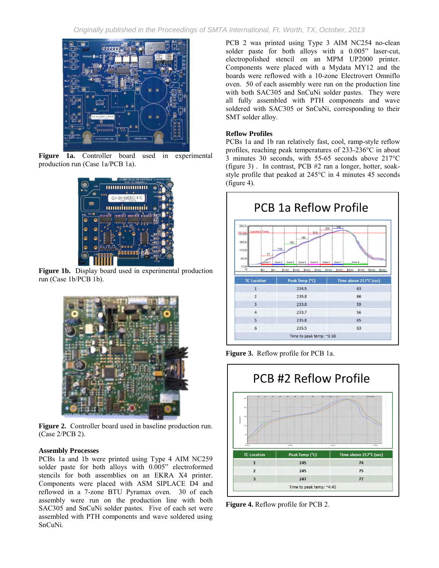

**Figure 1a.** Controller board used in experimental production run (Case 1a/PCB 1a).



**Figure 1b.** Display board used in experimental production run (Case 1b/PCB 1b).



**Figure 2.** Controller board used in baseline production run. (Case 2/PCB 2).

# **Assembly Processes**

PCBs 1a and 1b were printed using Type 4 AIM NC259 solder paste for both alloys with 0.005" electroformed stencils for both assemblies on an EKRA X4 printer. Components were placed with ASM SIPLACE D4 and reflowed in a 7-zone BTU Pyramax oven. 30 of each assembly were run on the production line with both SAC305 and SnCuNi solder pastes. Five of each set were assembled with PTH components and wave soldered using SnCuNi.

PCB 2 was printed using Type 3 AIM NC254 no-clean solder paste for both alloys with a 0.005" laser-cut, electropolished stencil on an MPM UP2000 printer. Components were placed with a Mydata MY12 and the boards were reflowed with a 10-zone Electrovert Omniflo oven. 50 of each assembly were run on the production line with both SAC305 and SnCuNi solder pastes. They were all fully assembled with PTH components and wave soldered with SAC305 or SnCuNi, corresponding to their SMT solder alloy.

# **Reflow Profiles**

PCBs 1a and 1b ran relatively fast, cool, ramp-style reflow profiles, reaching peak temperatures of 233-236°C in about 3 minutes 30 seconds, with 55-65 seconds above 217°C (figure 3) . In contrast, PCB #2 ran a longer, hotter, soakstyle profile that peaked at 245°C in 4 minutes 45 seconds (figure 4).



**Figure 3.** Reflow profile for PCB 1a.



**Figure 4.** Reflow profile for PCB 2.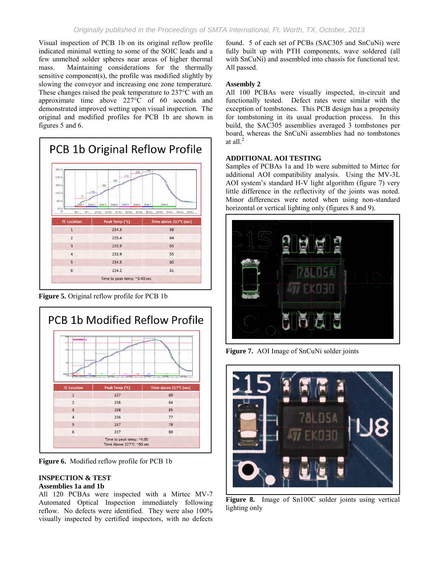Visual inspection of PCB 1b on its original reflow profile indicated minimal wetting to some of the SOIC leads and a few unmelted solder spheres near areas of higher thermal mass. Maintaining considerations for the thermally sensitive component(s), the profile was modified slightly by slowing the conveyor and increasing one zone temperature. These changes raised the peak temperature to 237°C with an approximate time above 227°C of 60 seconds and demonstrated improved wetting upon visual inspection. The original and modified profiles for PCB 1b are shown in figures 5 and 6.



**Figure 5.** Original reflow profile for PCB 1b



**Figure 6.** Modified reflow profile for PCB 1b

# **INSPECTION & TEST**

# **Assemblies 1a and 1b**

All 120 PCBAs were inspected with a Mirtec MV-7 Automated Optical Inspection immediately following reflow. No defects were identified. They were also 100% visually inspected by certified inspectors, with no defects

found. 5 of each set of PCBs (SAC305 and SnCuNi) were fully built up with PTH components, wave soldered (all with SnCuNi) and assembled into chassis for functional test. All passed.

# **Assembly 2**

All 100 PCBAs were visually inspected, in-circuit and functionally tested. Defect rates were similar with the exception of tombstones. This PCB design has a propensity for tombstoning in its usual production process. In this build, the SAC305 assemblies averaged 3 tombstones per board, whereas the SnCuNi assemblies had no tombstones at all. $^{2}$ 

# **ADDITIONAL AOI TESTING**

Samples of PCBAs 1a and 1b were submitted to Mirtec for additional AOI compatibility analysis. Using the MV-3L AOI system's standard H-V light algorithm (figure 7) very little difference in the reflectivity of the joints was noted. Minor differences were noted when using non-standard horizontal or vertical lighting only (figures 8 and 9).



**Figure 7.** AOI Image of SnCuNi solder joints



**Figure 8.** Image of Sn100C solder joints using vertical lighting only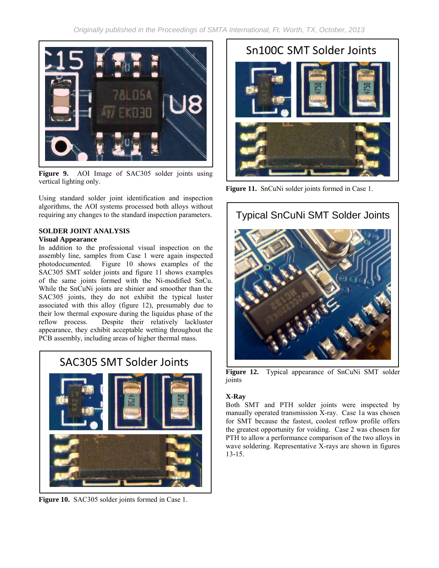

**Figure 9.** AOI Image of SAC305 solder joints using vertical lighting only.

Using standard solder joint identification and inspection algorithms, the AOI systems processed both alloys without requiring any changes to the standard inspection parameters.

# **SOLDER JOINT ANALYSIS**

# **Visual Appearance**

In addition to the professional visual inspection on the assembly line, samples from Case 1 were again inspected photodocumented. Figure 10 shows examples of the SAC305 SMT solder joints and figure 11 shows examples of the same joints formed with the Ni-modified SnCu. While the SnCuNi joints are shinier and smoother than the SAC305 joints, they do not exhibit the typical luster associated with this alloy (figure 12), presumably due to their low thermal exposure during the liquidus phase of the reflow process. Despite their relatively lackluster appearance, they exhibit acceptable wetting throughout the PCB assembly, including areas of higher thermal mass.



**Figure 10.** SAC305 solder joints formed in Case 1.

# **Sn100C SMT Solder Joints**

**Figure 11.** SnCuNi solder joints formed in Case 1.



Figure 12. Typical appearance of SnCuNi SMT solder joints

# **X-Ray**

Both SMT and PTH solder joints were inspected by manually operated transmission X-ray. Case 1a was chosen for SMT because the fastest, coolest reflow profile offers the greatest opportunity for voiding. Case 2 was chosen for PTH to allow a performance comparison of the two alloys in wave soldering. Representative X-rays are shown in figures 13-15.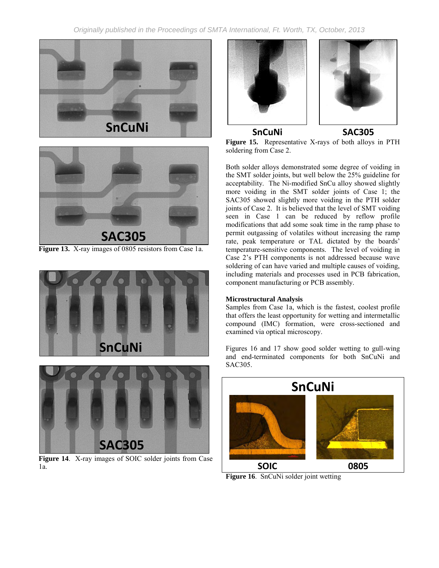



Figure 13. X-ray images of 0805 resistors from Case 1a.





**Figure 14**. X-ray images of SOIC solder joints from Case 1a.





**SnCuNi SAC305 Figure 15.** Representative X-rays of both alloys in PTH soldering from Case 2.

Both solder alloys demonstrated some degree of voiding in the SMT solder joints, but well below the 25% guideline for acceptability. The Ni-modified SnCu alloy showed slightly more voiding in the SMT solder joints of Case 1; the SAC305 showed slightly more voiding in the PTH solder joints of Case 2. It is believed that the level of SMT voiding seen in Case 1 can be reduced by reflow profile modifications that add some soak time in the ramp phase to permit outgassing of volatiles without increasing the ramp rate, peak temperature or TAL dictated by the boards' temperature-sensitive components. The level of voiding in Case 2's PTH components is not addressed because wave soldering of can have varied and multiple causes of voiding, including materials and processes used in PCB fabrication, component manufacturing or PCB assembly.

# **Microstructural Analysis**

Samples from Case 1a, which is the fastest, coolest profile that offers the least opportunity for wetting and intermetallic compound (IMC) formation, were cross-sectioned and examined via optical microscopy.

Figures 16 and 17 show good solder wetting to gull-wing and end-terminated components for both SnCuNi and SAC305.



**Figure 16**. SnCuNi solder joint wetting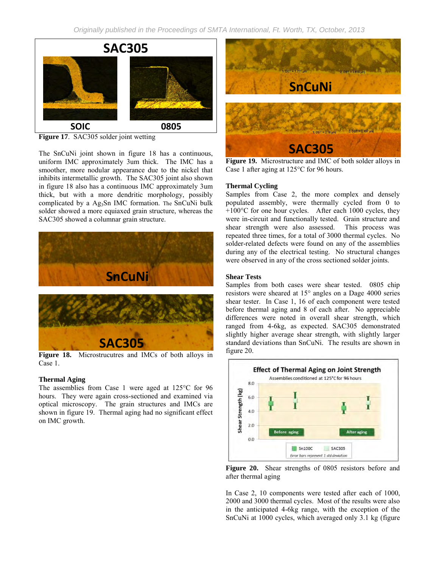

**Figure 17**. SAC305 solder joint wetting

The SnCuNi joint shown in figure 18 has a continuous, uniform IMC approximately 3um thick. The IMC has a smoother, more nodular appearance due to the nickel that inhibits intermetallic growth. The SAC305 joint also shown in figure 18 also has a continuous IMC approximately 3um thick, but with a more dendritic morphology, possibly complicated by a Ag3Sn IMC formation. The SnCuNi bulk solder showed a more equiaxed grain structure, whereas the SAC305 showed a columnar grain structure.



**Figure 18.** Microstrucutres and IMCs of both alloys in Case 1.

# **Thermal Aging**

The assemblies from Case 1 were aged at 125°C for 96 hours. They were again cross-sectioned and examined via optical microscopy. The grain structures and IMCs are shown in figure 19. Thermal aging had no significant effect on IMC growth.



**Figure 19.** Microstructure and IMC of both solder alloys in Case 1 after aging at 125°C for 96 hours.

# **Thermal Cycling**

Samples from Case 2, the more complex and densely populated assembly, were thermally cycled from 0 to +100°C for one hour cycles. After each 1000 cycles, they were in-circuit and functionally tested. Grain structure and shear strength were also assessed. This process was repeated three times, for a total of 3000 thermal cycles. No solder-related defects were found on any of the assemblies during any of the electrical testing. No structural changes were observed in any of the cross sectioned solder joints.

## **Shear Tests**

Samples from both cases were shear tested. 0805 chip resistors were sheared at 15° angles on a Dage 4000 series shear tester. In Case 1, 16 of each component were tested before thermal aging and 8 of each after. No appreciable differences were noted in overall shear strength, which ranged from 4-6kg, as expected. SAC305 demonstrated slightly higher average shear strength, with slightly larger standard deviations than SnCuNi. The results are shown in figure 20.



**Figure 20.** Shear strengths of 0805 resistors before and after thermal aging

In Case 2, 10 components were tested after each of 1000, 2000 and 3000 thermal cycles. Most of the results were also in the anticipated 4-6kg range, with the exception of the SnCuNi at 1000 cycles, which averaged only 3.1 kg (figure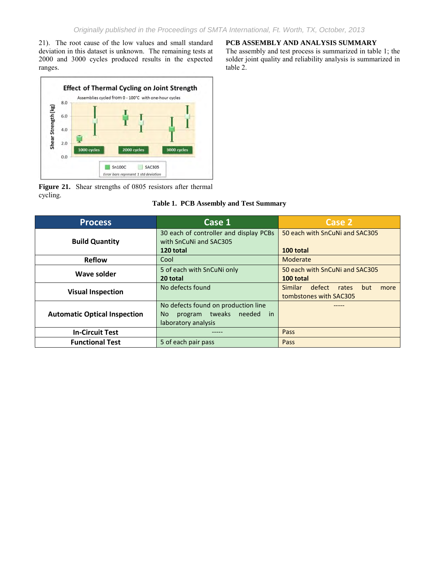21). The root cause of the low values and small standard deviation in this dataset is unknown. The remaining tests at 2000 and 3000 cycles produced results in the expected ranges.

# **PCB ASSEMBLY AND ANALYSIS SUMMARY**

The assembly and test process is summarized in table 1; the solder joint quality and reliability analysis is summarized in table 2.



**Figure 21.** Shear strengths of 0805 resistors after thermal cycling.

# **Table 1. PCB Assembly and Test Summary**

| <b>Process</b>                      | Case 1                                                                                                       | Case 2                                                              |
|-------------------------------------|--------------------------------------------------------------------------------------------------------------|---------------------------------------------------------------------|
| <b>Build Quantity</b>               | 30 each of controller and display PCBs<br>with SnCuNi and SAC305<br>120 total                                | 50 each with SnCuNi and SAC305<br>100 total                         |
| <b>Reflow</b>                       | Cool                                                                                                         | Moderate                                                            |
| Wave solder                         | 5 of each with SnCuNi only<br>20 total                                                                       | 50 each with SnCuNi and SAC305<br>100 total                         |
| <b>Visual Inspection</b>            | No defects found                                                                                             | Similar<br>defect<br>but<br>rates<br>more<br>tombstones with SAC305 |
| <b>Automatic Optical Inspection</b> | No defects found on production line<br>tweaks<br>needed<br><b>No</b><br>program<br>in<br>laboratory analysis |                                                                     |
| <b>In-Circuit Test</b>              |                                                                                                              | Pass                                                                |
| <b>Functional Test</b>              | 5 of each pair pass                                                                                          | Pass                                                                |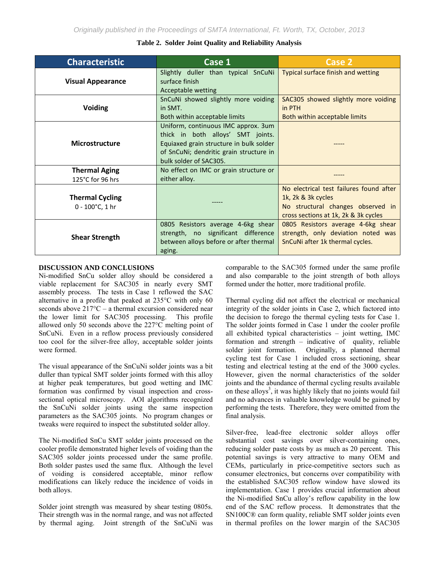| <b>Characteristic</b>                        | Case 1                                                                                                                                                                                   | Case 2                                                                                                                                     |
|----------------------------------------------|------------------------------------------------------------------------------------------------------------------------------------------------------------------------------------------|--------------------------------------------------------------------------------------------------------------------------------------------|
| <b>Visual Appearance</b>                     | Slightly duller than typical SnCuNi<br>surface finish<br><b>Acceptable wetting</b>                                                                                                       | Typical surface finish and wetting                                                                                                         |
| <b>Voiding</b>                               | SnCuNi showed slightly more voiding<br>in SMT.<br>Both within acceptable limits                                                                                                          | SAC305 showed slightly more voiding<br>in PTH<br>Both within acceptable limits                                                             |
| <b>Microstructure</b>                        | Uniform, continuous IMC approx. 3um<br>thick in both alloys' SMT joints.<br>Equiaxed grain structure in bulk solder<br>of SnCuNi; dendritic grain structure in<br>bulk solder of SAC305. |                                                                                                                                            |
| <b>Thermal Aging</b><br>125°C for 96 hrs     | No effect on IMC or grain structure or<br>either alloy.                                                                                                                                  |                                                                                                                                            |
| <b>Thermal Cycling</b><br>$0 - 100$ °C, 1 hr |                                                                                                                                                                                          | No electrical test failures found after<br>1k, 2k & 3k cycles<br>No structural changes observed in<br>cross sections at 1k, 2k & 3k cycles |
| <b>Shear Strength</b>                        | 0805 Resistors average 4-6kg shear<br>strength, no significant difference<br>between alloys before or after thermal<br>aging.                                                            | 0805 Resistors average 4-6kg shear<br>strength, only deviation noted was<br>SnCuNi after 1k thermal cycles.                                |

# **Table 2. Solder Joint Quality and Reliability Analysis**

## **DISCUSSION AND CONCLUSIONS**

Ni-modified SnCu solder alloy should be considered a viable replacement for SAC305 in nearly every SMT assembly process. The tests in Case 1 reflowed the SAC alternative in a profile that peaked at 235°C with only 60 seconds above 217°C – a thermal excursion considered near the lower limit for SAC305 processing. This profile allowed only 50 seconds above the 227°C melting point of SnCuNi. Even in a reflow process previously considered too cool for the silver-free alloy, acceptable solder joints were formed.

The visual appearance of the SnCuNi solder joints was a bit duller than typical SMT solder joints formed with this alloy at higher peak temperatures, but good wetting and IMC formation was confirmed by visual inspection and crosssectional optical microscopy. AOI algorithms recognized the SnCuNi solder joints using the same inspection parameters as the SAC305 joints. No program changes or tweaks were required to inspect the substituted solder alloy.

The Ni-modified SnCu SMT solder joints processed on the cooler profile demonstrated higher levels of voiding than the SAC305 solder joints processed under the same profile. Both solder pastes used the same flux. Although the level of voiding is considered acceptable, minor reflow modifications can likely reduce the incidence of voids in both alloys.

Solder joint strength was measured by shear testing 0805s. Their strength was in the normal range, and was not affected by thermal aging. Joint strength of the SnCuNi was comparable to the SAC305 formed under the same profile and also comparable to the joint strength of both alloys formed under the hotter, more traditional profile.

Thermal cycling did not affect the electrical or mechanical integrity of the solder joints in Case 2, which factored into the decision to forego the thermal cycling tests for Case 1. The solder joints formed in Case 1 under the cooler profile all exhibited typical characteristics – joint wetting, IMC formation and strength – indicative of quality, reliable solder joint formation. Originally, a planned thermal cycling test for Case 1 included cross sectioning, shear testing and electrical testing at the end of the 3000 cycles. However, given the normal characteristics of the solder joints and the abundance of thermal cycling results available on these alloys<sup>3</sup>, it was highly likely that no joints would fail and no advances in valuable knowledge would be gained by performing the tests. Therefore, they were omitted from the final analysis.

Silver-free, lead-free electronic solder alloys offer substantial cost savings over silver-containing ones, reducing solder paste costs by as much as 20 percent. This potential savings is very attractive to many OEM and CEMs, particularly in price-competitive sectors such as consumer electronics, but concerns over compatibility with the established SAC305 reflow window have slowed its implementation. Case 1 provides crucial information about the Ni-modified SnCu alloy's reflow capability in the low end of the SAC reflow process. It demonstrates that the SN100C® can form quality, reliable SMT solder joints even in thermal profiles on the lower margin of the SAC305